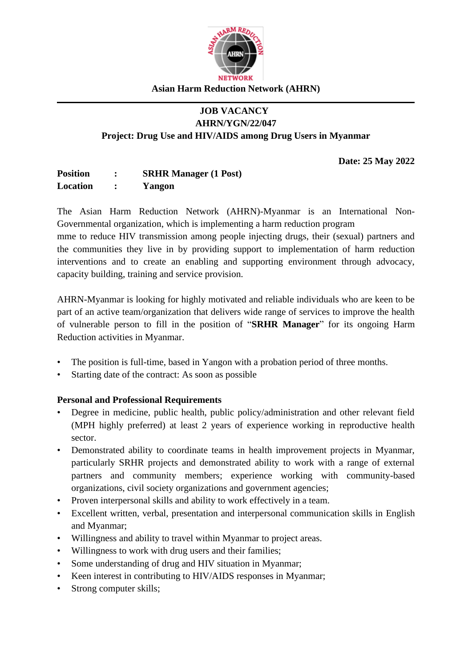

#### **Asian Harm Reduction Network (AHRN)**

#### **JOB VACANCY AHRN/YGN/22/047**

**Project: Drug Use and HIV/AIDS among Drug Users in Myanmar** 

**Date: 25 May 2022**

| <b>Position</b> | <b>SRHR Manager (1 Post)</b> |
|-----------------|------------------------------|
| Location        | Yangon                       |

The Asian Harm Reduction Network (AHRN)-Myanmar is an International Non-Governmental organization, which is implementing a harm reduction program

mme to reduce HIV transmission among people injecting drugs, their (sexual) partners and the communities they live in by providing support to implementation of harm reduction interventions and to create an enabling and supporting environment through advocacy, capacity building, training and service provision.

AHRN-Myanmar is looking for highly motivated and reliable individuals who are keen to be part of an active team/organization that delivers wide range of services to improve the health of vulnerable person to fill in the position of "**SRHR Manager**" for its ongoing Harm Reduction activities in Myanmar.

- The position is full-time, based in Yangon with a probation period of three months.
- Starting date of the contract: As soon as possible

#### **Personal and Professional Requirements**

- Degree in medicine, public health, public policy/administration and other relevant field (MPH highly preferred) at least 2 years of experience working in reproductive health sector.
- Demonstrated ability to coordinate teams in health improvement projects in Myanmar, particularly SRHR projects and demonstrated ability to work with a range of external partners and community members; experience working with community-based organizations, civil society organizations and government agencies;
- Proven interpersonal skills and ability to work effectively in a team.
- Excellent written, verbal, presentation and interpersonal communication skills in English and Myanmar;
- Willingness and ability to travel within Myanmar to project areas.
- Willingness to work with drug users and their families;
- Some understanding of drug and HIV situation in Myanmar;
- Keen interest in contributing to HIV/AIDS responses in Myanmar;
- Strong computer skills;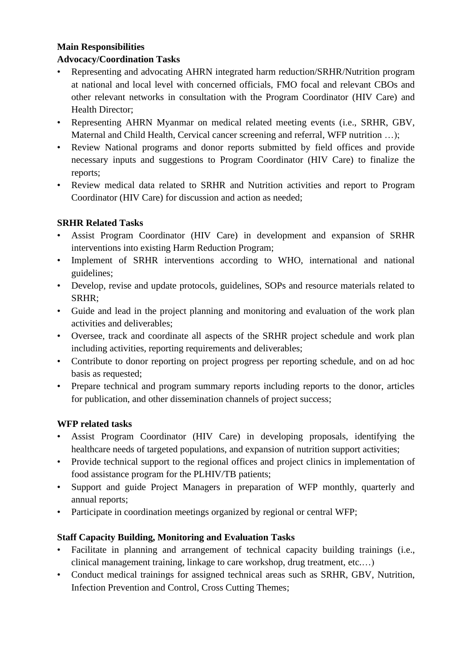#### **Main Responsibilities**

#### **Advocacy/Coordination Tasks**

- Representing and advocating AHRN integrated harm reduction/SRHR/Nutrition program at national and local level with concerned officials, FMO focal and relevant CBOs and other relevant networks in consultation with the Program Coordinator (HIV Care) and Health Director;
- Representing AHRN Myanmar on medical related meeting events (i.e., SRHR, GBV, Maternal and Child Health, Cervical cancer screening and referral, WFP nutrition ...);
- Review National programs and donor reports submitted by field offices and provide necessary inputs and suggestions to Program Coordinator (HIV Care) to finalize the reports;
- Review medical data related to SRHR and Nutrition activities and report to Program Coordinator (HIV Care) for discussion and action as needed;

# **SRHR Related Tasks**

- Assist Program Coordinator (HIV Care) in development and expansion of SRHR interventions into existing Harm Reduction Program;
- Implement of SRHR interventions according to WHO, international and national guidelines;
- Develop, revise and update protocols, guidelines, SOPs and resource materials related to SRHR;
- Guide and lead in the project planning and monitoring and evaluation of the work plan activities and deliverables;
- Oversee, track and coordinate all aspects of the SRHR project schedule and work plan including activities, reporting requirements and deliverables;
- Contribute to donor reporting on project progress per reporting schedule, and on ad hoc basis as requested;
- Prepare technical and program summary reports including reports to the donor, articles for publication, and other dissemination channels of project success;

# **WFP related tasks**

- Assist Program Coordinator (HIV Care) in developing proposals, identifying the healthcare needs of targeted populations, and expansion of nutrition support activities;
- Provide technical support to the regional offices and project clinics in implementation of food assistance program for the PLHIV/TB patients;
- Support and guide Project Managers in preparation of WFP monthly, quarterly and annual reports;
- Participate in coordination meetings organized by regional or central WFP;

#### **Staff Capacity Building, Monitoring and Evaluation Tasks**

- Facilitate in planning and arrangement of technical capacity building trainings (i.e., clinical management training, linkage to care workshop, drug treatment, etc.…)
- Conduct medical trainings for assigned technical areas such as SRHR, GBV, Nutrition, Infection Prevention and Control, Cross Cutting Themes;